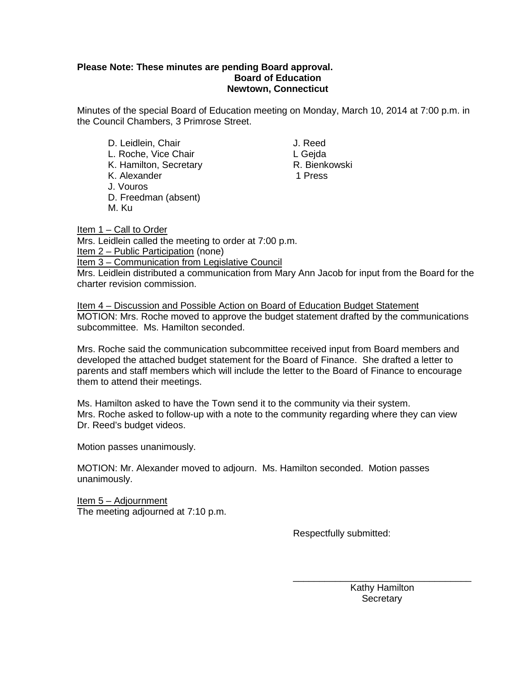## **Please Note: These minutes are pending Board approval. Board of Education Newtown, Connecticut**

Minutes of the special Board of Education meeting on Monday, March 10, 2014 at 7:00 p.m. in the Council Chambers, 3 Primrose Street.

- D. Leidlein, Chair **J. Reed** L. Roche, Vice Chair<br>
K. Hamilton. Secretary<br>
K. Hamilton. Secretary<br>
C. Bienkowski K. Hamilton, Secretary **R. Bienkowski**n, Secretary R. Bienkowskin, R. Bienkowskin, R. Bienkowskin, R. Bienkowski<br>K. Alexander A. Bienkowskin, R. Bienkowskin, R. Bienkowskin, R. Bienkowskin, R. Bienkowskin, R. Bienkowskin, K. Alexander J. Vouros D. Freedman (absent)
- M. Ku

Item 1 – Call to Order Mrs. Leidlein called the meeting to order at 7:00 p.m. Item 2 – Public Participation (none) Item 3 – Communication from Legislative Council

Mrs. Leidlein distributed a communication from Mary Ann Jacob for input from the Board for the charter revision commission.

Item 4 – Discussion and Possible Action on Board of Education Budget Statement MOTION: Mrs. Roche moved to approve the budget statement drafted by the communications subcommittee. Ms. Hamilton seconded.

Mrs. Roche said the communication subcommittee received input from Board members and developed the attached budget statement for the Board of Finance. She drafted a letter to parents and staff members which will include the letter to the Board of Finance to encourage them to attend their meetings.

Ms. Hamilton asked to have the Town send it to the community via their system. Mrs. Roche asked to follow-up with a note to the community regarding where they can view Dr. Reed's budget videos.

Motion passes unanimously.

MOTION: Mr. Alexander moved to adjourn. Ms. Hamilton seconded. Motion passes unanimously.

Item 5 – Adjournment The meeting adjourned at 7:10 p.m.

Respectfully submitted:

\_\_\_\_\_\_\_\_\_\_\_\_\_\_\_\_\_\_\_\_\_\_\_\_\_\_\_\_\_\_\_\_\_\_ Kathy Hamilton **Secretary**